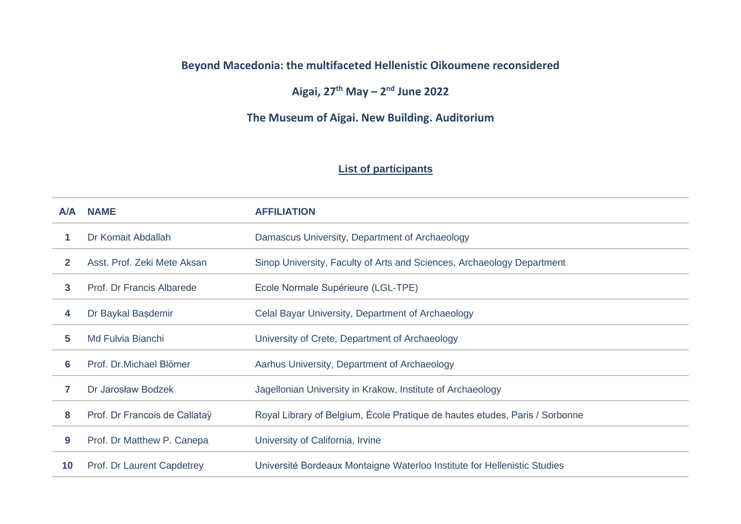## **Beyond Macedonia: the multifaceted Hellenistic Oikoumene reconsidered**

**Aigai, 27th May – 2 nd June 2022**

**The Museum of Aigai. New Building. Auditorium**

## **List of participants**

| A/A | <b>NAME</b>                   | <b>AFFILIATION</b>                                                          |
|-----|-------------------------------|-----------------------------------------------------------------------------|
|     | Dr Komait Abdallah            | Damascus University, Department of Archaeology                              |
| 2   | Asst. Prof. Zeki Mete Aksan   | Sinop University, Faculty of Arts and Sciences, Archaeology Department      |
| 3   | Prof. Dr Francis Albarede     | Ecole Normale Supérieure (LGL-TPE)                                          |
| 4   | Dr Baykal Başdemir            | Celal Bayar University, Department of Archaeology                           |
| 5.  | Md Fulvia Bianchi             | University of Crete, Department of Archaeology                              |
| 6   | Prof. Dr. Michael Blömer      | Aarhus University, Department of Archaeology                                |
| 7   | Dr Jarosław Bodzek            | Jagellonian University in Krakow, Institute of Archaeology                  |
| 8   | Prof. Dr Francois de Callataÿ | Royal Library of Belgium, École Pratique de hautes etudes, Paris / Sorbonne |
| 9   | Prof. Dr Matthew P. Canepa    | University of California, Irvine                                            |
| 10  | Prof. Dr Laurent Capdetrey    | Université Bordeaux Montaigne Waterloo Institute for Hellenistic Studies    |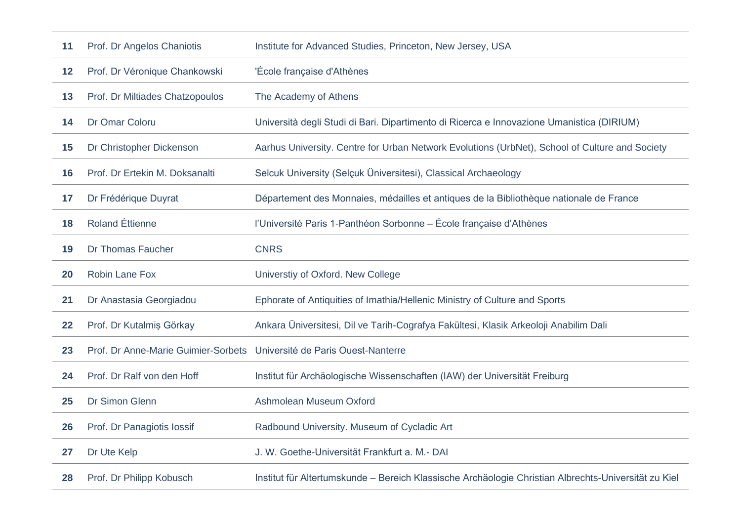| 11 | Prof. Dr Angelos Chaniotis                                             | Institute for Advanced Studies, Princeton, New Jersey, USA                                     |
|----|------------------------------------------------------------------------|------------------------------------------------------------------------------------------------|
| 12 | Prof. Dr Véronique Chankowski                                          | 'École française d'Athènes                                                                     |
| 13 | Prof. Dr Miltiades Chatzopoulos                                        | The Academy of Athens                                                                          |
| 14 | Dr Omar Coloru                                                         | Università degli Studi di Bari. Dipartimento di Ricerca e Innovazione Umanistica (DIRIUM)      |
| 15 | Dr Christopher Dickenson                                               | Aarhus University. Centre for Urban Network Evolutions (UrbNet), School of Culture and Society |
| 16 | Prof. Dr Ertekin M. Doksanalti                                         | Selcuk University (Selçuk Üniversitesi), Classical Archaeology                                 |
| 17 | Dr Frédérique Duyrat                                                   | Département des Monnaies, médailles et antiques de la Bibliothèque nationale de France         |
| 18 | <b>Roland Éttienne</b>                                                 | l'Université Paris 1-Panthéon Sorbonne – École française d'Athènes                             |
| 19 | <b>Dr Thomas Faucher</b>                                               | <b>CNRS</b>                                                                                    |
|    |                                                                        |                                                                                                |
| 20 | <b>Robin Lane Fox</b>                                                  | Universtiy of Oxford. New College                                                              |
| 21 | Dr Anastasia Georgiadou                                                | Ephorate of Antiquities of Imathia/Hellenic Ministry of Culture and Sports                     |
| 22 | Prof. Dr Kutalmiş Görkay                                               | Ankara Üniversitesi, Dil ve Tarih-Cografya Fakültesi, Klasik Arkeoloji Anabilim Dali           |
| 23 | Prof. Dr Anne-Marie Guimier-Sorbets Université de Paris Ouest-Nanterre |                                                                                                |
| 24 | Prof. Dr Ralf von den Hoff                                             | Institut für Archäologische Wissenschaften (IAW) der Universität Freiburg                      |
| 25 | Dr Simon Glenn                                                         | Ashmolean Museum Oxford                                                                        |
| 26 | Prof. Dr Panagiotis lossif                                             | Radbound University. Museum of Cycladic Art                                                    |
| 27 | Dr Ute Kelp                                                            | J. W. Goethe-Universität Frankfurt a. M.- DAI                                                  |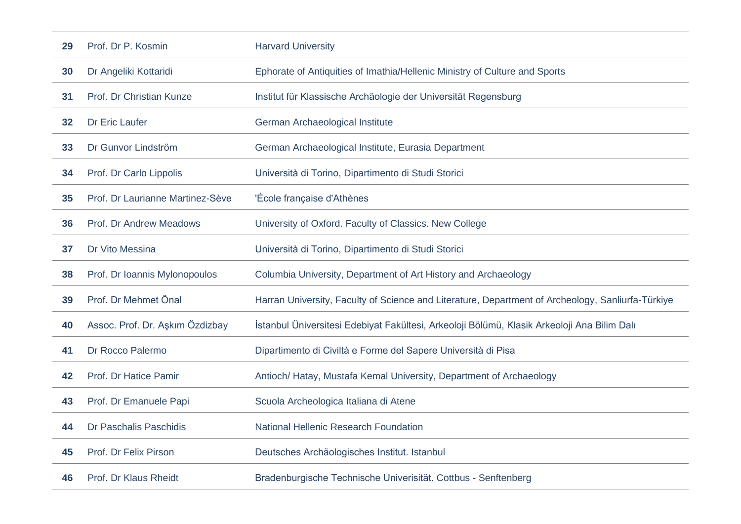| 29 | Prof. Dr P. Kosmin               | <b>Harvard University</b>                                                                         |
|----|----------------------------------|---------------------------------------------------------------------------------------------------|
| 30 | Dr Angeliki Kottaridi            | Ephorate of Antiquities of Imathia/Hellenic Ministry of Culture and Sports                        |
| 31 | Prof. Dr Christian Kunze         | Institut für Klassische Archäologie der Universität Regensburg                                    |
| 32 | Dr Eric Laufer                   | German Archaeological Institute                                                                   |
| 33 | Dr Gunvor Lindström              | German Archaeological Institute, Eurasia Department                                               |
| 34 | Prof. Dr Carlo Lippolis          | Università di Torino, Dipartimento di Studi Storici                                               |
| 35 | Prof. Dr Laurianne Martinez-Sève | 'École française d'Athènes                                                                        |
| 36 | Prof. Dr Andrew Meadows          | University of Oxford. Faculty of Classics. New College                                            |
| 37 | Dr Vito Messina                  | Università di Torino, Dipartimento di Studi Storici                                               |
| 38 | Prof. Dr Ioannis Mylonopoulos    | Columbia University, Department of Art History and Archaeology                                    |
| 39 | Prof. Dr Mehmet Önal             | Harran University, Faculty of Science and Literature, Department of Archeology, Sanliurfa-Türkiye |
| 40 | Assoc. Prof. Dr. Aşkım Özdizbay  | İstanbul Üniversitesi Edebiyat Fakültesi, Arkeoloji Bölümü, Klasik Arkeoloji Ana Bilim Dalı       |
| 41 | Dr Rocco Palermo                 | Dipartimento di Civiltà e Forme del Sapere Università di Pisa                                     |
| 42 | Prof. Dr Hatice Pamir            | Antioch/ Hatay, Mustafa Kemal University, Department of Archaeology                               |
| 43 | Prof. Dr Emanuele Papi           | Scuola Archeologica Italiana di Atene                                                             |
| 44 | Dr Paschalis Paschidis           | <b>National Hellenic Research Foundation</b>                                                      |
| 45 | Prof. Dr Felix Pirson            | Deutsches Archäologisches Institut. Istanbul                                                      |
| 46 | Prof. Dr Klaus Rheidt            | Bradenburgische Technische Univerisität. Cottbus - Senftenberg                                    |